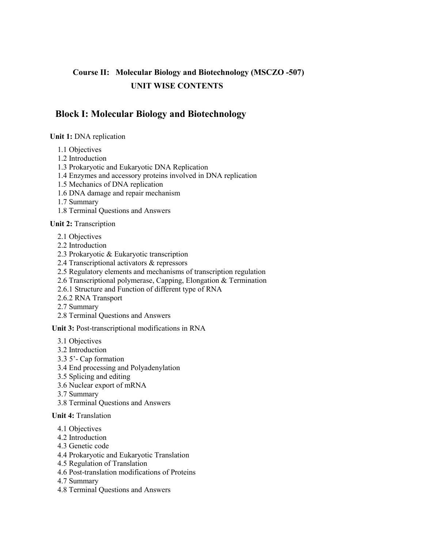# **Course II: Molecular Biology and Biotechnology (MSCZO -507) UNIT WISE CONTENTS**

### **Block I: Molecular Biology and Biotechnology**

### **Unit 1:** DNA replication

1.1 Objectives

- 1.2 Introduction
- 1.3 Prokaryotic and Eukaryotic DNA Replication
- 1.4 Enzymes and accessory proteins involved in DNA replication
- 1.5 Mechanics of DNA replication
- 1.6 DNA damage and repair mechanism
- 1.7 Summary
- 1.8 Terminal Questions and Answers

### **Unit 2:** Transcription

- 2.1 Objectives
- 2.2 Introduction
- 2.3 Prokaryotic & Eukaryotic transcription
- 2.4 Transcriptional activators & repressors
- 2.5 Regulatory elements and mechanisms of transcription regulation
- 2.6 Transcriptional polymerase, Capping, Elongation & Termination
- 2.6.1 Structure and Function of different type of RNA
- 2.6.2 RNA Transport
- 2.7 Summary
- 2.8 Terminal Questions and Answers

**Unit 3:** Post-transcriptional modifications in RNA

- 3.1 Objectives
- 3.2 Introduction
- 3.3 5'- Cap formation
- 3.4 End processing and Polyadenylation
- 3.5 Splicing and editing
- 3.6 Nuclear export of mRNA
- 3.7 Summary
- 3.8 Terminal Questions and Answers

#### **Unit 4:** Translation

- 4.1 Objectives
- 4.2 Introduction
- 4.3 Genetic code
- 4.4 Prokaryotic and Eukaryotic Translation
- 4.5 Regulation of Translation
- 4.6 Post-translation modifications of Proteins
- 4.7 Summary
- 4.8 Terminal Questions and Answers